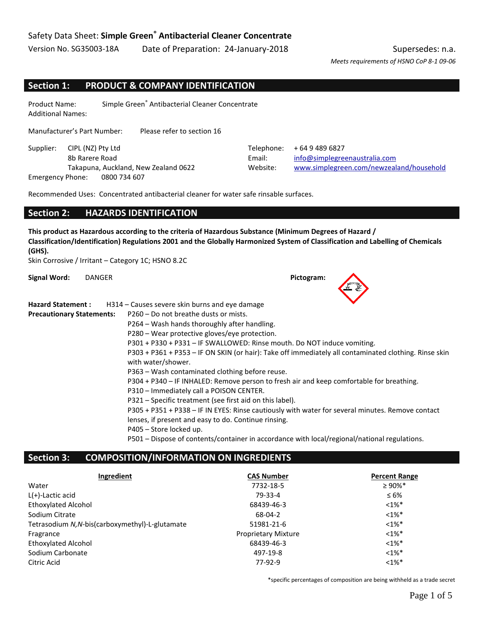*Meets requirements of HSNO CoP 8-1 09-06*

### **Section 1: PRODUCT & COMPANY IDENTIFICATION**

Product Name: Simple Green® Antibacterial Cleaner Concentrate Additional Names:

Manufacturer's Part Number: Please refer to section 16

Supplier: CIPL (NZ) Pty Ltd Telephone: +64 9 489 6827 Emergency Phone: 0800 734 607

8b Rarere Road Email: [info@simplegreenaustralia.com](mailto:info@simplegreenaustralia.com) Takapuna, Auckland, New Zealand 0622 Website: [www.simplegreen.com/newzealand/household](http://www.simplegreen.com/newzealand/household) 

Recommended Uses: Concentrated antibacterial cleaner for water safe rinsable surfaces.

### **Section 2: HAZARDS IDENTIFICATION**

**This product as Hazardous according to the criteria of Hazardous Substance (Minimum Degrees of Hazard / Classification/Identification) Regulations 2001 and the Globally Harmonized System of Classification and Labelling of Chemicals (GHS).**

Skin Corrosive / Irritant – Category 1C; HSNO 8.2C

**Signal Word:** DANGER **Pictogram:**

| <b>Hazard Statement:</b>         | H314 – Causes severe skin burns and eye damage                                                                              |
|----------------------------------|-----------------------------------------------------------------------------------------------------------------------------|
| <b>Precautionary Statements:</b> | P260 – Do not breathe dusts or mists.                                                                                       |
|                                  | P264 – Wash hands thoroughly after handling.                                                                                |
|                                  | P280 – Wear protective gloves/eye protection.                                                                               |
|                                  | P301 + P330 + P331 - IF SWALLOWED: Rinse mouth. Do NOT induce vomiting.                                                     |
|                                  | P303 + P361 + P353 - IF ON SKIN (or hair): Take off immediately all contaminated clothing. Rinse skin<br>with water/shower. |
|                                  | P363 – Wash contaminated clothing before reuse.                                                                             |
|                                  | P304 + P340 – IF INHALED: Remove person to fresh air and keep comfortable for breathing.                                    |
|                                  | P310 - Immediately call a POISON CENTER.                                                                                    |
|                                  | P321 – Specific treatment (see first aid on this label).                                                                    |
|                                  | P305 + P351 + P338 - IF IN EYES: Rinse cautiously with water for several minutes. Remove contact                            |
|                                  | lenses, if present and easy to do. Continue rinsing.                                                                        |
|                                  | P405 - Store locked up.                                                                                                     |
|                                  | P501 – Dispose of contents/container in accordance with local/regional/national regulations.                                |

#### **Section 3: COMPOSITION/INFORMATION ON INGREDIENTS**

| Ingredient                                      | <b>CAS Number</b>          | <b>Percent Range</b> |
|-------------------------------------------------|----------------------------|----------------------|
| Water                                           | 7732-18-5                  | $\geq 90\%$ *        |
| $L(+)$ -Lactic acid                             | 79-33-4                    | $\leq 6\%$           |
| <b>Ethoxylated Alcohol</b>                      | 68439-46-3                 | $<1\%$ <sup>*</sup>  |
| Sodium Citrate                                  | 68-04-2                    | $<1\%$ *             |
| Tetrasodium N, N-bis(carboxymethyl)-L-glutamate | 51981-21-6                 | $<1\%$ *             |
| Fragrance                                       | <b>Proprietary Mixture</b> | $<1\%$ <sup>*</sup>  |
| <b>Ethoxylated Alcohol</b>                      | 68439-46-3                 | $<1\%$ *             |
| Sodium Carbonate                                | 497-19-8                   | $<1\%$ *             |
| Citric Acid                                     | 77-92-9                    | $<1\%$ *             |

\*specific percentages of composition are being withheld as a trade secret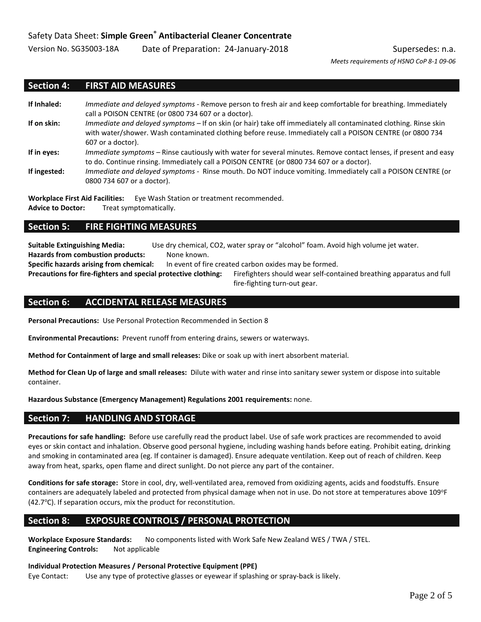*Meets requirements of HSNO CoP 8-1 09-06*

### **Section 4: FIRST AID MEASURES**

- **If Inhaled:** *Immediate and delayed symptoms -* Remove person to fresh air and keep comfortable for breathing. Immediately call a POISON CENTRE (or 0800 734 607 or a doctor). **If on skin:** *Immediate and delayed symptoms –* If on skin (or hair) take off immediately all contaminated clothing. Rinse skin with water/shower. Wash contaminated clothing before reuse. Immediately call a POISON CENTRE (or 0800 734 607 or a doctor).
- **If in eyes:** *Immediate symptoms –* Rinse cautiously with water for several minutes. Remove contact lenses, if present and easy to do. Continue rinsing. Immediately call a POISON CENTRE (or 0800 734 607 or a doctor).
- **If ingested:** *Immediate and delayed symptoms -* Rinse mouth. Do NOT induce vomiting. Immediately call a POISON CENTRE (or 0800 734 607 or a doctor).

**Workplace First Aid Facilities:** Eye Wash Station or treatment recommended. **Advice to Doctor:** Treat symptomatically.

#### **Section 5: FIRE FIGHTING MEASURES**

**Suitable Extinguishing Media:** Use dry chemical, CO2, water spray or "alcohol" foam. Avoid high volume jet water.

Hazards from combustion products: None known.

**Specific hazards arising from chemical:** In event of fire created carbon oxides may be formed.

**Precautions for fire-fighters and special protective clothing:** Firefighters should wear self-contained breathing apparatus and full

fire-fighting turn-out gear.

### **Section 6: ACCIDENTAL RELEASE MEASURES**

**Personal Precautions:** Use Personal Protection Recommended in Section 8

**Environmental Precautions:** Prevent runoff from entering drains, sewers or waterways.

**Method for Containment of large and small releases:** Dike or soak up with inert absorbent material.

**Method for Clean Up of large and small releases:** Dilute with water and rinse into sanitary sewer system or dispose into suitable container.

**Hazardous Substance (Emergency Management) Regulations 2001 requirements:** none.

#### **Section 7: HANDLING AND STORAGE**

**Precautions for safe handling:** Before use carefully read the product label. Use of safe work practices are recommended to avoid eyes or skin contact and inhalation. Observe good personal hygiene, including washing hands before eating. Prohibit eating, drinking and smoking in contaminated area (eg. If container is damaged). Ensure adequate ventilation. Keep out of reach of children. Keep away from heat, sparks, open flame and direct sunlight. Do not pierce any part of the container.

**Conditions for safe storage:** Store in cool, dry, well-ventilated area, removed from oxidizing agents, acids and foodstuffs. Ensure containers are adequately labeled and protected from physical damage when not in use. Do not store at temperatures above 109°F (42.7°C). If separation occurs, mix the product for reconstitution.

## **Section 8: EXPOSURE CONTROLS / PERSONAL PROTECTION**

**Workplace Exposure Standards:** No components listed with Work Safe New Zealand WES / TWA / STEL. **Engineering Controls:** Not applicable

**Individual Protection Measures / Personal Protective Equipment (PPE)**

Eye Contact: Use any type of protective glasses or eyewear if splashing or spray-back is likely.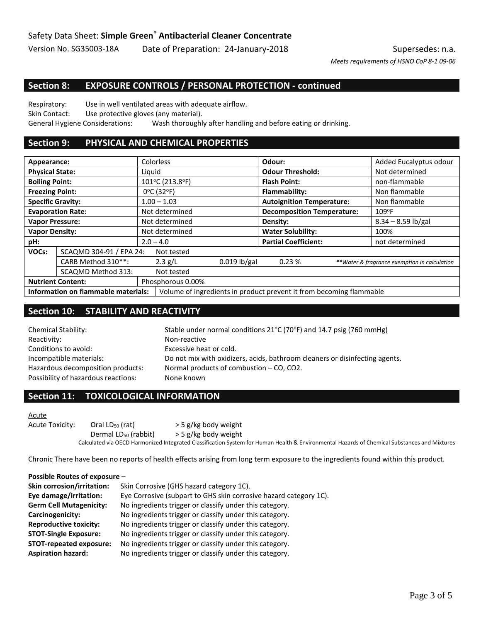*Meets requirements of HSNO CoP 8-1 09-06*

### **Section 8: EXPOSURE CONTROLS / PERSONAL PROTECTION - continued**

Respiratory: Use in well ventilated areas with adequate airflow. Skin Contact: Use protective gloves (any material). General Hygiene Considerations: Wash thoroughly after handling and before eating or drinking.

### **Section 9: PHYSICAL AND CHEMICAL PROPERTIES**

| Appearance:                                    |                          | Colorless                       |                                                                     | Odour:                            | Added Eucalyptus odour                       |
|------------------------------------------------|--------------------------|---------------------------------|---------------------------------------------------------------------|-----------------------------------|----------------------------------------------|
| <b>Physical State:</b>                         |                          | Liquid                          |                                                                     | <b>Odour Threshold:</b>           | Not determined                               |
| <b>Boiling Point:</b>                          |                          | 101°C (213.8°F)                 |                                                                     | <b>Flash Point:</b>               | non-flammable                                |
| <b>Freezing Point:</b>                         |                          | $0^{\circ}$ C (32 $^{\circ}$ F) |                                                                     | Flammability:                     | Non flammable                                |
|                                                | <b>Specific Gravity:</b> | $1.00 - 1.03$                   |                                                                     | <b>Autoignition Temperature:</b>  | Non flammable                                |
|                                                | <b>Evaporation Rate:</b> | Not determined                  |                                                                     | <b>Decomposition Temperature:</b> | $109^{\circ}F$                               |
|                                                | <b>Vapor Pressure:</b>   | Not determined                  |                                                                     | Density:                          | $8.34 - 8.59$ lb/gal                         |
| <b>Vapor Density:</b>                          |                          | Not determined                  |                                                                     | <b>Water Solubility:</b>          | 100%                                         |
| pH:                                            |                          | $2.0 - 4.0$                     |                                                                     | <b>Partial Coefficient:</b>       | not determined                               |
| SCAQMD 304-91 / EPA 24:<br>VOCs:<br>Not tested |                          |                                 |                                                                     |                                   |                                              |
|                                                | CARB Method 310**:       | 2.3 g/L                         | $0.019$ lb/gal                                                      | 0.23%                             | **Water & fragrance exemption in calculation |
|                                                | SCAQMD Method 313:       | Not tested                      |                                                                     |                                   |                                              |
| <b>Nutrient Content:</b>                       |                          | Phosphorous 0.00%               |                                                                     |                                   |                                              |
| <b>Information on flammable materials:</b>     |                          |                                 | Volume of ingredients in product prevent it from becoming flammable |                                   |                                              |

# **Section 10: STABILITY AND REACTIVITY**

Reactivity: Non-reactive Conditions to avoid: Excessive heat or cold. Hazardous decomposition products: Normal products of combustion – CO, CO2. Possibility of hazardous reactions: None known

Chemical Stability: Stable under normal conditions  $21^{\circ}$ C (70°F) and 14.7 psig (760 mmHg) Incompatible materials: Do not mix with oxidizers, acids, bathroom cleaners or disinfecting agents.

### **Section 11: TOXICOLOGICAL INFORMATION**

Acute

Acute Toxicity: Oral LD<sub>50</sub> (rat)  $>$  5 g/kg body weight Dermal LD<sub>50</sub> (rabbit)  $>$  5 g/kg body weight Calculated via OECD Harmonized Integrated Classification System for Human Health & Environmental Hazards of Chemical Substances and Mixtures

Chronic There have been no reports of health effects arising from long term exposure to the ingredients found within this product.

#### **Possible Routes of exposure** –

| <b>Skin corrosion/irritation:</b> | Skin Corrosive (GHS hazard category 1C).                          |
|-----------------------------------|-------------------------------------------------------------------|
| Eye damage/irritation:            | Eye Corrosive (subpart to GHS skin corrosive hazard category 1C). |
| <b>Germ Cell Mutagenicity:</b>    | No ingredients trigger or classify under this category.           |
| Carcinogenicity:                  | No ingredients trigger or classify under this category.           |
| <b>Reproductive toxicity:</b>     | No ingredients trigger or classify under this category.           |
| <b>STOT-Single Exposure:</b>      | No ingredients trigger or classify under this category.           |
| STOT-repeated exposure:           | No ingredients trigger or classify under this category.           |
| <b>Aspiration hazard:</b>         | No ingredients trigger or classify under this category.           |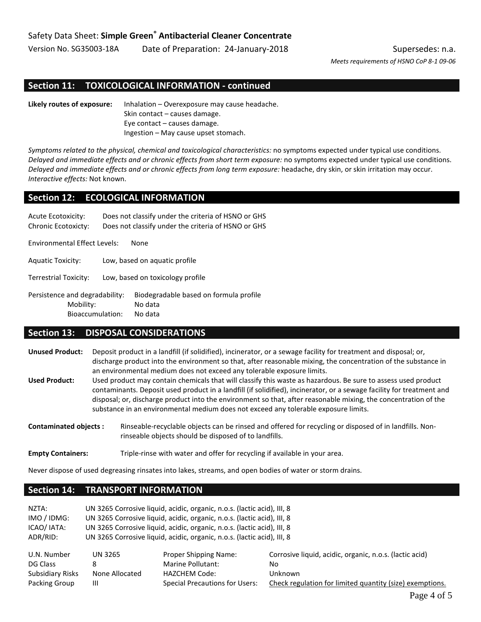*Meets requirements of HSNO CoP 8-1 09-06*

### **Section 11: TOXICOLOGICAL INFORMATION - continued**

**Likely routes of exposure:** Inhalation – Overexposure may cause headache. Skin contact – causes damage. Eye contact – causes damage. Ingestion – May cause upset stomach.

*Symptoms related to the physical, chemical and toxicological characteristics:* no symptoms expected under typical use conditions. *Delayed and immediate effects and or chronic effects from short term exposure:* no symptoms expected under typical use conditions. *Delayed and immediate effects and or chronic effects from long term exposure:* headache, dry skin, or skin irritation may occur. *Interactive effects:* Not known.

### **Section 12: ECOLOGICAL INFORMATION**

| Acute Ecotoxicity:<br><b>Chronic Ecotoxicty:</b>                | Does not classify under the criteria of HSNO or GHS<br>Does not classify under the criteria of HSNO or GHS |  |
|-----------------------------------------------------------------|------------------------------------------------------------------------------------------------------------|--|
| <b>Environmental Effect Levels:</b>                             | None                                                                                                       |  |
| <b>Aquatic Toxicity:</b>                                        | Low, based on aquatic profile                                                                              |  |
| Terrestrial Toxicity:                                           | Low, based on toxicology profile                                                                           |  |
| Persistence and degradability:<br>Mobility:<br>Bioaccumulation: | Biodegradable based on formula profile<br>No data<br>No data                                               |  |

#### **Section 13: DISPOSAL CONSIDERATIONS**

- **Unused Product:** Deposit product in a landfill (if solidified), incinerator, or a sewage facility for treatment and disposal; or, discharge product into the environment so that, after reasonable mixing, the concentration of the substance in an environmental medium does not exceed any tolerable exposure limits.
- **Used Product:** Used product may contain chemicals that will classify this waste as hazardous. Be sure to assess used product contaminants. Deposit used product in a landfill (if solidified), incinerator, or a sewage facility for treatment and disposal; or, discharge product into the environment so that, after reasonable mixing, the concentration of the substance in an environmental medium does not exceed any tolerable exposure limits.
- **Contaminated objects :** Rinseable-recyclable objects can be rinsed and offered for recycling or disposed of in landfills. Nonrinseable objects should be disposed of to landfills.

Empty Containers: Triple-rinse with water and offer for recycling if available in your area.

Never dispose of used degreasing rinsates into lakes, streams, and open bodies of water or storm drains.

#### **Section 14: TRANSPORT INFORMATION**

| NZTA:            | UN 3265 Corrosive liquid, acidic, organic, n.o.s. (lactic acid), III, 8 |                                       |                                                          |  |
|------------------|-------------------------------------------------------------------------|---------------------------------------|----------------------------------------------------------|--|
| IMO / IDMG:      | UN 3265 Corrosive liquid, acidic, organic, n.o.s. (lactic acid), III, 8 |                                       |                                                          |  |
| ICAO/ IATA:      | UN 3265 Corrosive liquid, acidic, organic, n.o.s. (lactic acid), III, 8 |                                       |                                                          |  |
| ADR/RID:         | UN 3265 Corrosive liquid, acidic, organic, n.o.s. (lactic acid), III, 8 |                                       |                                                          |  |
| U.N. Number      | UN 3265                                                                 | <b>Proper Shipping Name:</b>          | Corrosive liquid, acidic, organic, n.o.s. (lactic acid)  |  |
| DG Class         | 8                                                                       | Marine Pollutant:                     | No.                                                      |  |
| Subsidiary Risks | None Allocated                                                          | <b>HAZCHEM Code:</b>                  | Unknown                                                  |  |
| Packing Group    | Ш                                                                       | <b>Special Precautions for Users:</b> | Check regulation for limited quantity (size) exemptions. |  |